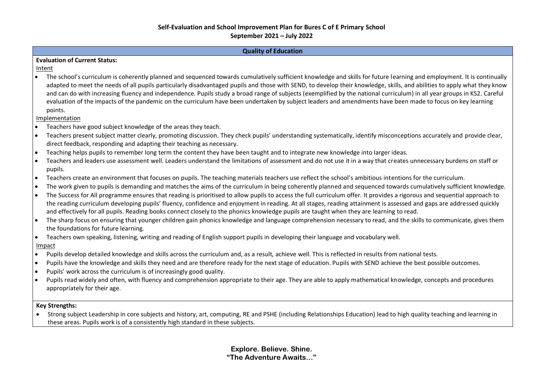| <b>Quality of Education</b>                                                                                                                                                                                                                                                                                                                                                                                                                                                                                                                                                                                                                                                                                                                                                                                                                                                                                          |  |  |  |  |  |
|----------------------------------------------------------------------------------------------------------------------------------------------------------------------------------------------------------------------------------------------------------------------------------------------------------------------------------------------------------------------------------------------------------------------------------------------------------------------------------------------------------------------------------------------------------------------------------------------------------------------------------------------------------------------------------------------------------------------------------------------------------------------------------------------------------------------------------------------------------------------------------------------------------------------|--|--|--|--|--|
| <b>Evaluation of Current Status:</b>                                                                                                                                                                                                                                                                                                                                                                                                                                                                                                                                                                                                                                                                                                                                                                                                                                                                                 |  |  |  |  |  |
| Intent                                                                                                                                                                                                                                                                                                                                                                                                                                                                                                                                                                                                                                                                                                                                                                                                                                                                                                               |  |  |  |  |  |
| • The school's curriculum is coherently planned and sequenced towards cumulatively sufficient knowledge and skills for future learning and employment. It is continually<br>adapted to meet the needs of all pupils particularly disadvantaged pupils and those with SEND, to develop their knowledge, skills, and abilities to apply what they know<br>and can do with increasing fluency and independence. Pupils study a broad range of subjects (exemplified by the national curriculum) in all year groups in KS2. Careful<br>evaluation of the impacts of the pandemic on the curriculum have been undertaken by subject leaders and amendments have been made to focus on key learning<br>points.                                                                                                                                                                                                             |  |  |  |  |  |
| Implementation                                                                                                                                                                                                                                                                                                                                                                                                                                                                                                                                                                                                                                                                                                                                                                                                                                                                                                       |  |  |  |  |  |
| Teachers have good subject knowledge of the areas they teach.<br>$\bullet$                                                                                                                                                                                                                                                                                                                                                                                                                                                                                                                                                                                                                                                                                                                                                                                                                                           |  |  |  |  |  |
| Teachers present subject matter clearly, promoting discussion. They check pupils' understanding systematically, identify misconceptions accurately and provide clear,<br>$\bullet$<br>direct feedback, responding and adapting their teaching as necessary.                                                                                                                                                                                                                                                                                                                                                                                                                                                                                                                                                                                                                                                          |  |  |  |  |  |
| Teaching helps pupils to remember long term the content they have been taught and to integrate new knowledge into larger ideas.<br>$\bullet$                                                                                                                                                                                                                                                                                                                                                                                                                                                                                                                                                                                                                                                                                                                                                                         |  |  |  |  |  |
| Teachers and leaders use assessment well. Leaders understand the limitations of assessment and do not use it in a way that creates unnecessary burdens on staff or<br>$\bullet$<br>pupils.                                                                                                                                                                                                                                                                                                                                                                                                                                                                                                                                                                                                                                                                                                                           |  |  |  |  |  |
| Teachers create an environment that focuses on pupils. The teaching materials teachers use reflect the school's ambitious intentions for the curriculum.<br>$\bullet$                                                                                                                                                                                                                                                                                                                                                                                                                                                                                                                                                                                                                                                                                                                                                |  |  |  |  |  |
| The work given to pupils is demanding and matches the aims of the curriculum in being coherently planned and sequenced towards cumulatively sufficient knowledge.<br>$\bullet$<br>The Success for All programme ensures that reading is prioritised to allow pupils to access the full curriculum offer. It provides a rigorous and sequential approach to<br>$\bullet$<br>the reading curriculum developing pupils' fluency, confidence and enjoyment in reading. At all stages, reading attainment is assessed and gaps are addressed quickly<br>and effectively for all pupils. Reading books connect closely to the phonics knowledge pupils are taught when they are learning to read.<br>The sharp focus on ensuring that younger children gain phonics knowledge and language comprehension necessary to read, and the skills to communicate, gives them<br>$\bullet$<br>the foundations for future learning. |  |  |  |  |  |
| Teachers own speaking, listening, writing and reading of English support pupils in developing their language and vocabulary well.<br>$\bullet$                                                                                                                                                                                                                                                                                                                                                                                                                                                                                                                                                                                                                                                                                                                                                                       |  |  |  |  |  |
| Impact                                                                                                                                                                                                                                                                                                                                                                                                                                                                                                                                                                                                                                                                                                                                                                                                                                                                                                               |  |  |  |  |  |
| Pupils develop detailed knowledge and skills across the curriculum and, as a result, achieve well. This is reflected in results from national tests.<br>$\bullet$                                                                                                                                                                                                                                                                                                                                                                                                                                                                                                                                                                                                                                                                                                                                                    |  |  |  |  |  |
| Pupils have the knowledge and skills they need and are therefore ready for the next stage of education. Pupils with SEND achieve the best possible outcomes.<br>$\bullet$<br>Pupils' work across the curriculum is of increasingly good quality.<br>$\bullet$                                                                                                                                                                                                                                                                                                                                                                                                                                                                                                                                                                                                                                                        |  |  |  |  |  |
| Pupils read widely and often, with fluency and comprehension appropriate to their age. They are able to apply mathematical knowledge, concepts and procedures<br>$\bullet$<br>appropriately for their age.                                                                                                                                                                                                                                                                                                                                                                                                                                                                                                                                                                                                                                                                                                           |  |  |  |  |  |
| <b>Key Strengths:</b>                                                                                                                                                                                                                                                                                                                                                                                                                                                                                                                                                                                                                                                                                                                                                                                                                                                                                                |  |  |  |  |  |

• Strong subject Leadership in core subjects and history, art, computing, RE and PSHE (including Relationships Education) lead to high quality teaching and learning in these areas. Pupils work is of a consistently high standard in these subjects.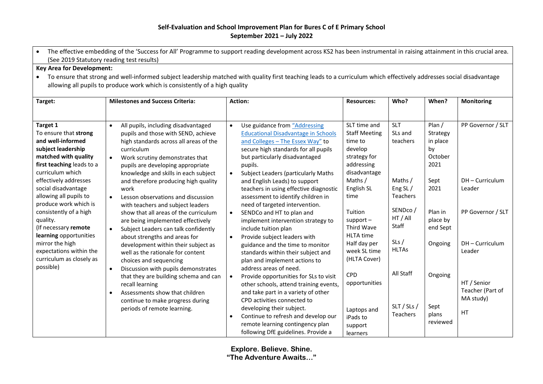| The effective embedding of the 'Success for All' Programme to support reading development across KS2 has been instrumental in raising attainment in this crucial area. |                                                                                                                                                                      |                                                         |                         |                     |               |                   |  |  |  |
|------------------------------------------------------------------------------------------------------------------------------------------------------------------------|----------------------------------------------------------------------------------------------------------------------------------------------------------------------|---------------------------------------------------------|-------------------------|---------------------|---------------|-------------------|--|--|--|
| (See 2019 Statutory reading test results)                                                                                                                              |                                                                                                                                                                      |                                                         |                         |                     |               |                   |  |  |  |
| <b>Key Area for Development:</b>                                                                                                                                       |                                                                                                                                                                      |                                                         |                         |                     |               |                   |  |  |  |
|                                                                                                                                                                        | To ensure that strong and well-informed subject leadership matched with quality first teaching leads to a curriculum which effectively addresses social disadvantage |                                                         |                         |                     |               |                   |  |  |  |
|                                                                                                                                                                        | allowing all pupils to produce work which is consistently of a high quality                                                                                          |                                                         |                         |                     |               |                   |  |  |  |
|                                                                                                                                                                        |                                                                                                                                                                      |                                                         |                         |                     |               |                   |  |  |  |
| Target:                                                                                                                                                                | <b>Milestones and Success Criteria:</b>                                                                                                                              | Action:                                                 | <b>Resources:</b>       | Who?                | When?         | <b>Monitoring</b> |  |  |  |
|                                                                                                                                                                        |                                                                                                                                                                      |                                                         |                         |                     |               |                   |  |  |  |
|                                                                                                                                                                        |                                                                                                                                                                      |                                                         |                         |                     |               |                   |  |  |  |
| Target 1                                                                                                                                                               | All pupils, including disadvantaged<br>$\bullet$                                                                                                                     | Use guidance from "Addressing<br>$\bullet$              | SLT time and            | <b>SLT</b>          | Plan /        | PP Governor / SLT |  |  |  |
| To ensure that strong                                                                                                                                                  | pupils and those with SEND, achieve                                                                                                                                  | <b>Educational Disadvantage in Schools</b>              | <b>Staff Meeting</b>    | SLs and             | Strategy      |                   |  |  |  |
| and well-informed                                                                                                                                                      | high standards across all areas of the                                                                                                                               | and Colleges - The Essex Way" to                        | time to                 | teachers            | in place      |                   |  |  |  |
| subject leadership<br>matched with quality                                                                                                                             | curriculum                                                                                                                                                           | secure high standards for all pupils                    | develop<br>strategy for |                     | by<br>October |                   |  |  |  |
| first teaching leads to a                                                                                                                                              | Work scrutiny demonstrates that<br>$\bullet$                                                                                                                         | but particularly disadvantaged<br>pupils.               | addressing              |                     | 2021          |                   |  |  |  |
| curriculum which                                                                                                                                                       | pupils are developing appropriate<br>knowledge and skills in each subject                                                                                            | <b>Subject Leaders (particularly Maths</b><br>$\bullet$ | disadvantage            |                     |               |                   |  |  |  |
| effectively addresses                                                                                                                                                  | and therefore producing high quality                                                                                                                                 | and English Leads) to support                           | Maths /                 | Maths /             | Sept          | DH - Curriculum   |  |  |  |
| social disadvantage                                                                                                                                                    | work                                                                                                                                                                 | teachers in using effective diagnostic                  | English SL              | Eng <sub>SL</sub> / | 2021          | Leader            |  |  |  |
| allowing all pupils to                                                                                                                                                 | Lesson observations and discussion<br>$\bullet$                                                                                                                      | assessment to identify children in                      | time                    | Teachers            |               |                   |  |  |  |
| produce work which is                                                                                                                                                  | with teachers and subject leaders                                                                                                                                    | need of targeted intervention.                          |                         |                     |               |                   |  |  |  |
| consistently of a high                                                                                                                                                 | show that all areas of the curriculum                                                                                                                                | SENDCo and HT to plan and<br>$\bullet$                  | Tuition                 | SENDco/             | Plan in       | PP Governor / SLT |  |  |  |
| quality.                                                                                                                                                               | are being implemented effectively                                                                                                                                    | implement intervention strategy to                      | $support -$             | HT / All            | place by      |                   |  |  |  |
| (If necessary remote                                                                                                                                                   | Subject Leaders can talk confidently<br>$\bullet$                                                                                                                    | include tuition plan                                    | Third Wave              | Staff               | end Sept      |                   |  |  |  |
| learning opportunities                                                                                                                                                 | about strengths and areas for                                                                                                                                        | Provide subject leaders with<br>$\bullet$               | <b>HLTA</b> time        |                     |               |                   |  |  |  |
| mirror the high                                                                                                                                                        | development within their subject as                                                                                                                                  | guidance and the time to monitor                        | Half day per            | SLs/                | Ongoing       | DH - Curriculum   |  |  |  |
| expectations within the                                                                                                                                                | well as the rationale for content                                                                                                                                    | standards within their subject and                      | week SL time            | <b>HLTAs</b>        |               | Leader            |  |  |  |
| curriculum as closely as                                                                                                                                               | choices and sequencing                                                                                                                                               | plan and implement actions to                           | (HLTA Cover)            |                     |               |                   |  |  |  |
| possible)                                                                                                                                                              | Discussion with pupils demonstrates<br>$\bullet$                                                                                                                     | address areas of need.                                  |                         |                     |               |                   |  |  |  |
|                                                                                                                                                                        | that they are building schema and can                                                                                                                                | Provide opportunities for SLs to visit<br>$\bullet$     | <b>CPD</b>              | All Staff           | Ongoing       |                   |  |  |  |
|                                                                                                                                                                        | recall learning                                                                                                                                                      | other schools, attend training events,                  | opportunities           |                     |               | HT / Senior       |  |  |  |
|                                                                                                                                                                        | Assessments show that children<br>$\bullet$                                                                                                                          | and take part in a variety of other                     |                         |                     |               | Teacher (Part of  |  |  |  |
|                                                                                                                                                                        | continue to make progress during                                                                                                                                     | CPD activities connected to                             |                         |                     |               | MA study)         |  |  |  |
|                                                                                                                                                                        | periods of remote learning.                                                                                                                                          | developing their subject.                               | Laptops and             | SLT / SLs /         | Sept          |                   |  |  |  |
|                                                                                                                                                                        |                                                                                                                                                                      | Continue to refresh and develop our<br>$\bullet$        | iPads to                | Teachers            | plans         | HT                |  |  |  |
|                                                                                                                                                                        |                                                                                                                                                                      | remote learning contingency plan                        | support                 |                     | reviewed      |                   |  |  |  |
|                                                                                                                                                                        |                                                                                                                                                                      | following DfE guidelines. Provide a                     | learners                |                     |               |                   |  |  |  |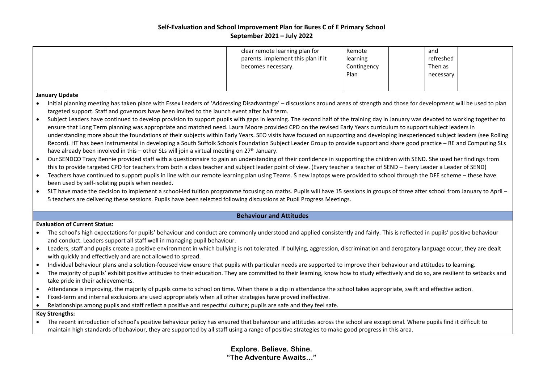|           |                                                                                                                                                                                                                          |  | clear remote learning plan for<br>parents. Implement this plan if it<br>becomes necessary.                                                                                                                                                                                                                                                      | Remote<br>learning<br>Contingency<br>Plan | and<br>refreshed<br>Then as<br>necessary |  |  |  |  |  |
|-----------|--------------------------------------------------------------------------------------------------------------------------------------------------------------------------------------------------------------------------|--|-------------------------------------------------------------------------------------------------------------------------------------------------------------------------------------------------------------------------------------------------------------------------------------------------------------------------------------------------|-------------------------------------------|------------------------------------------|--|--|--|--|--|
|           | <b>January Update</b>                                                                                                                                                                                                    |  |                                                                                                                                                                                                                                                                                                                                                 |                                           |                                          |  |  |  |  |  |
|           | Initial planning meeting has taken place with Essex Leaders of 'Addressing Disadvantage' - discussions around areas of strength and those for development will be used to plan                                           |  |                                                                                                                                                                                                                                                                                                                                                 |                                           |                                          |  |  |  |  |  |
|           | targeted support. Staff and governors have been invited to the launch event after half term.                                                                                                                             |  |                                                                                                                                                                                                                                                                                                                                                 |                                           |                                          |  |  |  |  |  |
|           |                                                                                                                                                                                                                          |  | Subject Leaders have continued to develop provision to support pupils with gaps in learning. The second half of the training day in January was devoted to working together to                                                                                                                                                                  |                                           |                                          |  |  |  |  |  |
|           |                                                                                                                                                                                                                          |  | ensure that Long Term planning was appropriate and matched need. Laura Moore provided CPD on the revised Early Years curriculum to support subject leaders in<br>understanding more about the foundations of their subjects within Early Years. SEO visits have focused on supporting and developing inexperienced subject leaders (see Rolling |                                           |                                          |  |  |  |  |  |
|           |                                                                                                                                                                                                                          |  | Record). HT has been instrumental in developing a South Suffolk Schools Foundation Subject Leader Group to provide support and share good practice - RE and Computing SLs                                                                                                                                                                       |                                           |                                          |  |  |  |  |  |
|           | have already been involved in this - other SLs will join a virtual meeting on 27 <sup>th</sup> January.                                                                                                                  |  |                                                                                                                                                                                                                                                                                                                                                 |                                           |                                          |  |  |  |  |  |
|           |                                                                                                                                                                                                                          |  | Our SENDCO Tracy Bennie provided staff with a questionnaire to gain an understanding of their confidence in supporting the children with SEND. She used her findings from                                                                                                                                                                       |                                           |                                          |  |  |  |  |  |
|           |                                                                                                                                                                                                                          |  | this to provide targeted CPD for teachers from both a class teacher and subject leader point of view. (Every teacher a teacher of SEND - Every Leader a Leader of SEND)                                                                                                                                                                         |                                           |                                          |  |  |  |  |  |
| $\bullet$ |                                                                                                                                                                                                                          |  | Teachers have continued to support pupils in line with our remote learning plan using Teams. \$ new laptops were provided to school through the DFE scheme - these have                                                                                                                                                                         |                                           |                                          |  |  |  |  |  |
|           | been used by self-isolating pupils when needed.                                                                                                                                                                          |  |                                                                                                                                                                                                                                                                                                                                                 |                                           |                                          |  |  |  |  |  |
| $\bullet$ |                                                                                                                                                                                                                          |  | SLT have made the decision to implement a school-led tuition programme focusing on maths. Pupils will have 15 sessions in groups of three after school from January to April -<br>5 teachers are delivering these sessions. Pupils have been selected following discussions at Pupil Progress Meetings.                                         |                                           |                                          |  |  |  |  |  |
|           |                                                                                                                                                                                                                          |  |                                                                                                                                                                                                                                                                                                                                                 |                                           |                                          |  |  |  |  |  |
|           |                                                                                                                                                                                                                          |  | <b>Behaviour and Attitudes</b>                                                                                                                                                                                                                                                                                                                  |                                           |                                          |  |  |  |  |  |
|           | <b>Evaluation of Current Status:</b>                                                                                                                                                                                     |  |                                                                                                                                                                                                                                                                                                                                                 |                                           |                                          |  |  |  |  |  |
| $\bullet$ |                                                                                                                                                                                                                          |  | The school's high expectations for pupils' behaviour and conduct are commonly understood and applied consistently and fairly. This is reflected in pupils' positive behaviour                                                                                                                                                                   |                                           |                                          |  |  |  |  |  |
|           | and conduct. Leaders support all staff well in managing pupil behaviour.                                                                                                                                                 |  |                                                                                                                                                                                                                                                                                                                                                 |                                           |                                          |  |  |  |  |  |
|           | with quickly and effectively and are not allowed to spread.                                                                                                                                                              |  | Leaders, staff and pupils create a positive environment in which bullying is not tolerated. If bullying, aggression, discrimination and derogatory language occur, they are dealt                                                                                                                                                               |                                           |                                          |  |  |  |  |  |
|           |                                                                                                                                                                                                                          |  | Individual behaviour plans and a solution-focused view ensure that pupils with particular needs are supported to improve their behaviour and attitudes to learning.                                                                                                                                                                             |                                           |                                          |  |  |  |  |  |
|           | The majority of pupils' exhibit positive attitudes to their education. They are committed to their learning, know how to study effectively and do so, are resilient to setbacks and<br>take pride in their achievements. |  |                                                                                                                                                                                                                                                                                                                                                 |                                           |                                          |  |  |  |  |  |
|           |                                                                                                                                                                                                                          |  | Attendance is improving, the majority of pupils come to school on time. When there is a dip in attendance the school takes appropriate, swift and effective action.                                                                                                                                                                             |                                           |                                          |  |  |  |  |  |
| $\bullet$ |                                                                                                                                                                                                                          |  | Fixed-term and internal exclusions are used appropriately when all other strategies have proved ineffective.                                                                                                                                                                                                                                    |                                           |                                          |  |  |  |  |  |
|           |                                                                                                                                                                                                                          |  | Relationships among pupils and staff reflect a positive and respectful culture; pupils are safe and they feel safe.                                                                                                                                                                                                                             |                                           |                                          |  |  |  |  |  |
|           | <b>Key Strengths:</b>                                                                                                                                                                                                    |  |                                                                                                                                                                                                                                                                                                                                                 |                                           |                                          |  |  |  |  |  |
|           |                                                                                                                                                                                                                          |  | The recent introduction of school's positive behaviour policy has ensured that behaviour and attitudes across the school are exceptional. Where pupils find it difficult to                                                                                                                                                                     |                                           |                                          |  |  |  |  |  |
|           |                                                                                                                                                                                                                          |  | maintain high standards of behaviour, they are supported by all staff using a range of positive strategies to make good progress in this area.                                                                                                                                                                                                  |                                           |                                          |  |  |  |  |  |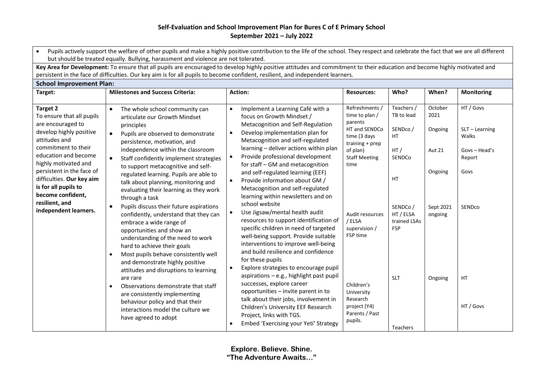| Pupils actively support the welfare of other pupils and make a highly positive contribution to the life of the school. They respect and celebrate the fact that we are all different<br>$\bullet$<br>but should be treated equally. Bullying, harassment and violence are not tolerated.                                        |                                                                                                                                                                                                                                                                                                                                                                                                                                                                                                                                                                                                                                                                                                                                                                                                                                                                                                                                                                                                   |                                                                                                                                                                                                                                                                                                                                                                                                                                                                                                                                                                                                                                                                                                                                                                                                                                                                                                                                                                                                                                                                                   |                                                                                                                                                                                                                                                                                           |                                                                                                                                                          |                                                                                           |                                                                                                        |  |  |  |
|---------------------------------------------------------------------------------------------------------------------------------------------------------------------------------------------------------------------------------------------------------------------------------------------------------------------------------|---------------------------------------------------------------------------------------------------------------------------------------------------------------------------------------------------------------------------------------------------------------------------------------------------------------------------------------------------------------------------------------------------------------------------------------------------------------------------------------------------------------------------------------------------------------------------------------------------------------------------------------------------------------------------------------------------------------------------------------------------------------------------------------------------------------------------------------------------------------------------------------------------------------------------------------------------------------------------------------------------|-----------------------------------------------------------------------------------------------------------------------------------------------------------------------------------------------------------------------------------------------------------------------------------------------------------------------------------------------------------------------------------------------------------------------------------------------------------------------------------------------------------------------------------------------------------------------------------------------------------------------------------------------------------------------------------------------------------------------------------------------------------------------------------------------------------------------------------------------------------------------------------------------------------------------------------------------------------------------------------------------------------------------------------------------------------------------------------|-------------------------------------------------------------------------------------------------------------------------------------------------------------------------------------------------------------------------------------------------------------------------------------------|----------------------------------------------------------------------------------------------------------------------------------------------------------|-------------------------------------------------------------------------------------------|--------------------------------------------------------------------------------------------------------|--|--|--|
|                                                                                                                                                                                                                                                                                                                                 | Key Area for Development: To ensure that all pupils are encouraged to develop highly positive attitudes and commitment to their education and become highly motivated and                                                                                                                                                                                                                                                                                                                                                                                                                                                                                                                                                                                                                                                                                                                                                                                                                         |                                                                                                                                                                                                                                                                                                                                                                                                                                                                                                                                                                                                                                                                                                                                                                                                                                                                                                                                                                                                                                                                                   |                                                                                                                                                                                                                                                                                           |                                                                                                                                                          |                                                                                           |                                                                                                        |  |  |  |
|                                                                                                                                                                                                                                                                                                                                 | persistent in the face of difficulties. Our key aim is for all pupils to become confident, resilient, and independent learners.                                                                                                                                                                                                                                                                                                                                                                                                                                                                                                                                                                                                                                                                                                                                                                                                                                                                   |                                                                                                                                                                                                                                                                                                                                                                                                                                                                                                                                                                                                                                                                                                                                                                                                                                                                                                                                                                                                                                                                                   |                                                                                                                                                                                                                                                                                           |                                                                                                                                                          |                                                                                           |                                                                                                        |  |  |  |
| <b>School Improvement Plan:</b>                                                                                                                                                                                                                                                                                                 | <b>Milestones and Success Criteria:</b>                                                                                                                                                                                                                                                                                                                                                                                                                                                                                                                                                                                                                                                                                                                                                                                                                                                                                                                                                           |                                                                                                                                                                                                                                                                                                                                                                                                                                                                                                                                                                                                                                                                                                                                                                                                                                                                                                                                                                                                                                                                                   |                                                                                                                                                                                                                                                                                           |                                                                                                                                                          |                                                                                           |                                                                                                        |  |  |  |
| Target:                                                                                                                                                                                                                                                                                                                         |                                                                                                                                                                                                                                                                                                                                                                                                                                                                                                                                                                                                                                                                                                                                                                                                                                                                                                                                                                                                   | <b>Action:</b>                                                                                                                                                                                                                                                                                                                                                                                                                                                                                                                                                                                                                                                                                                                                                                                                                                                                                                                                                                                                                                                                    | <b>Resources:</b>                                                                                                                                                                                                                                                                         | Who?                                                                                                                                                     | When?                                                                                     | <b>Monitoring</b>                                                                                      |  |  |  |
| Target 2<br>To ensure that all pupils<br>are encouraged to<br>develop highly positive<br>attitudes and<br>commitment to their<br>education and become<br>highly motivated and<br>persistent in the face of<br>difficulties. Our key aim<br>is for all pupils to<br>become confident,<br>resilient, and<br>independent learners. | The whole school community can<br>$\bullet$<br>articulate our Growth Mindset<br>principles<br>Pupils are observed to demonstrate<br>$\bullet$<br>persistence, motivation, and<br>independence within the classroom<br>Staff confidently implement strategies<br>$\bullet$<br>to support metacognitive and self-<br>regulated learning. Pupils are able to<br>talk about planning, monitoring and<br>evaluating their learning as they work<br>through a task<br>Pupils discuss their future aspirations<br>$\bullet$<br>confidently, understand that they can<br>embrace a wide range of<br>opportunities and show an<br>understanding of the need to work<br>hard to achieve their goals<br>Most pupils behave consistently well<br>and demonstrate highly positive<br>attitudes and disruptions to learning<br>are rare<br>Observations demonstrate that staff<br>are consistently implementing<br>behaviour policy and that their<br>interactions model the culture we<br>have agreed to adopt | Implement a Learning Café with a<br>$\bullet$<br>focus on Growth Mindset /<br>Metacognition and Self-Regulation<br>Develop implementation plan for<br>$\bullet$<br>Metacognition and self-regulated<br>learning - deliver actions within plan<br>Provide professional development<br>for staff - GM and metacognition<br>and self-regulated learning (EEF)<br>Provide information about GM /<br>$\bullet$<br>Metacognition and self-regulated<br>learning within newsletters and on<br>school website<br>Use Jigsaw/mental health audit<br>resources to support identification of<br>specific children in need of targeted<br>well-being support. Provide suitable<br>interventions to improve well-being<br>and build resilience and confidence<br>for these pupils<br>Explore strategies to encourage pupil<br>aspirations - e.g., highlight past pupil<br>successes, explore career<br>opportunities - invite parent in to<br>talk about their jobs, involvement in<br>Children's University EEF Research<br>Project, links with TGS.<br>Embed 'Exercising your Yeti' Strategy | Refreshments /<br>time to plan /<br>parents<br>HT and SENDCo<br>time (3 days<br>training + prep<br>of plan)<br><b>Staff Meeting</b><br>time<br>Audit resources<br>/ELSA<br>supervision /<br>FSP time<br>Children's<br>University<br>Research<br>project (Y4)<br>Parents / Past<br>pupils. | Teachers /<br>TB to lead<br>SENDco/<br>HT.<br>HT/<br>SENDCo<br><b>HT</b><br>SENDCo/<br>HT / ELSA<br>trained LSAs<br><b>FSP</b><br><b>SLT</b><br>Teachers | October<br>2021<br>Ongoing<br><b>Aut 21</b><br>Ongoing<br>Sept 2021<br>ongoing<br>Ongoing | HT / Govs<br>$SLT - Learning$<br>Walks<br>Govs - Head's<br>Report<br>Govs<br>SENDco<br>HT<br>HT / Govs |  |  |  |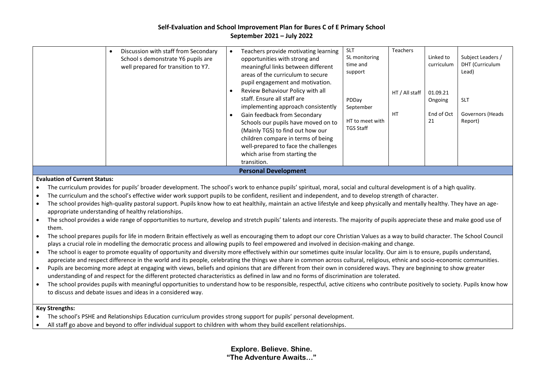|  | Lead)<br>support<br>areas of the curriculum to secure<br>pupil engagement and motivation.<br>Review Behaviour Policy with all<br>HT / All staff<br>01.09.21<br>staff. Ensure all staff are<br>PDDay<br><b>SLT</b><br>Ongoing<br>implementing approach consistently<br>September<br>End of Oct<br>HT<br>Governors (Heads<br>Gain feedback from Secondary<br>HT to meet with<br>21<br>Report)<br>Schools our pupils have moved on to<br><b>TGS Staff</b><br>(Mainly TGS) to find out how our<br>children compare in terms of being<br>well-prepared to face the challenges<br>which arise from starting the<br>transition.<br><b>Personal Development</b> | <b>SLT</b><br><b>Teachers</b><br>Discussion with staff from Secondary<br>Teachers provide motivating learning<br>Linked to<br>Subject Leaders /<br>SL monitoring<br>School s demonstrate Y6 pupils are<br>opportunities with strong and<br>DHT (Curriculum<br>time and<br>curriculum<br>well prepared for transition to Y7.<br>meaningful links between different |  |
|--|---------------------------------------------------------------------------------------------------------------------------------------------------------------------------------------------------------------------------------------------------------------------------------------------------------------------------------------------------------------------------------------------------------------------------------------------------------------------------------------------------------------------------------------------------------------------------------------------------------------------------------------------------------|-------------------------------------------------------------------------------------------------------------------------------------------------------------------------------------------------------------------------------------------------------------------------------------------------------------------------------------------------------------------|--|
|--|---------------------------------------------------------------------------------------------------------------------------------------------------------------------------------------------------------------------------------------------------------------------------------------------------------------------------------------------------------------------------------------------------------------------------------------------------------------------------------------------------------------------------------------------------------------------------------------------------------------------------------------------------------|-------------------------------------------------------------------------------------------------------------------------------------------------------------------------------------------------------------------------------------------------------------------------------------------------------------------------------------------------------------------|--|

#### **Evaluation of Current Status:**

• The curriculum provides for pupils' broader development. The school's work to enhance pupils' spiritual, moral, social and cultural development is of a high quality.

- The curriculum and the school's effective wider work support pupils to be confident, resilient and independent, and to develop strength of character.
- The school provides high-quality pastoral support. Pupils know how to eat healthily, maintain an active lifestyle and keep physically and mentally healthy. They have an ageappropriate understanding of healthy relationships.
- The school provides a wide range of opportunities to nurture, develop and stretch pupils' talents and interests. The majority of pupils appreciate these and make good use of them.
- The school prepares pupils for life in modern Britain effectively as well as encouraging them to adopt our core Christian Values as a way to build character. The School Council plays a crucial role in modelling the democratic process and allowing pupils to feel empowered and involved in decision-making and change.
- The school is eager to promote equality of opportunity and diversity more effectively within our sometimes quite insular locality. Our aim is to ensure, pupils understand, appreciate and respect difference in the world and its people, celebrating the things we share in common across cultural, religious, ethnic and socio-economic communities.
- Pupils are becoming more adept at engaging with views, beliefs and opinions that are different from their own in considered ways. They are beginning to show greater understanding of and respect for the different protected characteristics as defined in law and no forms of discrimination are tolerated.
- The school provides pupils with meaningful opportunities to understand how to be responsible, respectful, active citizens who contribute positively to society. Pupils know how to discuss and debate issues and ideas in a considered way.

#### **Key Strengths:**

- The school's PSHE and Relationships Education curriculum provides strong support for pupils' personal development.
- All staff go above and beyond to offer individual support to children with whom they build excellent relationships.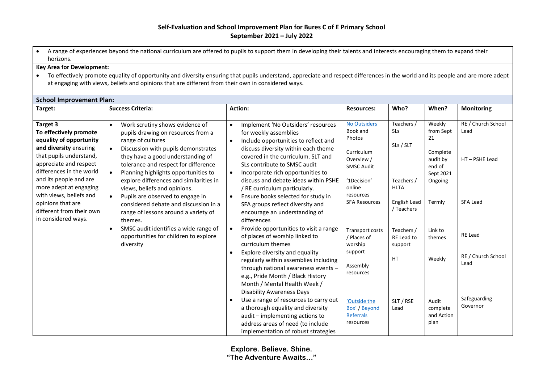• A range of experiences beyond the national curriculum are offered to pupils to support them in developing their talents and interests encouraging them to expand their horizons.

#### **Key Area for Development:**

• To effectively promote equality of opportunity and diversity ensuring that pupils understand, appreciate and respect differences in the world and its people and are more adept at engaging with views, beliefs and opinions that are different from their own in considered ways.

| <b>School Improvement Plan:</b>                                                                                                                                                                                                                                                                          |                                                                                                                                                                                                                                                                                                                                                                                                                                                                                                            |                                                                                                                                                                                                                                                                                                                                                                                                                                                                                               |                                                                                                                                                   |                                                                                           |                                                                                               |                                                               |  |
|----------------------------------------------------------------------------------------------------------------------------------------------------------------------------------------------------------------------------------------------------------------------------------------------------------|------------------------------------------------------------------------------------------------------------------------------------------------------------------------------------------------------------------------------------------------------------------------------------------------------------------------------------------------------------------------------------------------------------------------------------------------------------------------------------------------------------|-----------------------------------------------------------------------------------------------------------------------------------------------------------------------------------------------------------------------------------------------------------------------------------------------------------------------------------------------------------------------------------------------------------------------------------------------------------------------------------------------|---------------------------------------------------------------------------------------------------------------------------------------------------|-------------------------------------------------------------------------------------------|-----------------------------------------------------------------------------------------------|---------------------------------------------------------------|--|
| Target:                                                                                                                                                                                                                                                                                                  | <b>Success Criteria:</b>                                                                                                                                                                                                                                                                                                                                                                                                                                                                                   | <b>Action:</b>                                                                                                                                                                                                                                                                                                                                                                                                                                                                                | <b>Resources:</b>                                                                                                                                 | Who?                                                                                      | When?                                                                                         | <b>Monitoring</b>                                             |  |
| Target 3<br>To effectively promote<br>equality of opportunity<br>and diversity ensuring<br>that pupils understand,<br>appreciate and respect<br>differences in the world<br>and its people and are<br>more adept at engaging<br>with views, beliefs and<br>opinions that are<br>different from their own | Work scrutiny shows evidence of<br>$\bullet$<br>pupils drawing on resources from a<br>range of cultures<br>Discussion with pupils demonstrates<br>$\bullet$<br>they have a good understanding of<br>tolerance and respect for difference<br>$\bullet$<br>Planning highlights opportunities to<br>explore differences and similarities in<br>views, beliefs and opinions.<br>Pupils are observed to engage in<br>$\bullet$<br>considered debate and discussion in a<br>range of lessons around a variety of | Implement 'No Outsiders' resources<br>$\bullet$<br>for weekly assemblies<br>Include opportunities to reflect and<br>$\bullet$<br>discuss diversity within each theme<br>covered in the curriculum. SLT and<br>SLs contribute to SMSC audit<br>Incorporate rich opportunities to<br>$\bullet$<br>discuss and debate ideas within PSHE<br>/ RE curriculum particularly.<br>Ensure books selected for study in<br>$\bullet$<br>SFA groups reflect diversity and<br>encourage an understanding of | No Outsiders<br>Book and<br>Photos<br>Curriculum<br>Overview /<br><b>SMSC Audit</b><br>'1Decision'<br>online<br>resources<br><b>SFA Resources</b> | Teachers /<br>SLs<br>SLs / SLT<br>Teachers /<br><b>HLTA</b><br>English Lead<br>/ Teachers | Weekly<br>from Sept<br>21<br>Complete<br>audit by<br>end of<br>Sept 2021<br>Ongoing<br>Termly | RE / Church School<br>Lead<br>HT-PSHE Lead<br><b>SFA Lead</b> |  |
| in considered ways.                                                                                                                                                                                                                                                                                      | themes.<br>SMSC audit identifies a wide range of<br>$\bullet$<br>opportunities for children to explore<br>diversity                                                                                                                                                                                                                                                                                                                                                                                        | differences<br>Provide opportunities to visit a range<br>$\bullet$<br>of places of worship linked to<br>curriculum themes                                                                                                                                                                                                                                                                                                                                                                     | <b>Transport costs</b><br>/ Places of<br>worship                                                                                                  | Teachers /<br>RE Lead to<br>support                                                       | Link to<br>themes                                                                             | <b>RE Lead</b>                                                |  |
|                                                                                                                                                                                                                                                                                                          |                                                                                                                                                                                                                                                                                                                                                                                                                                                                                                            | Explore diversity and equality<br>$\bullet$<br>regularly within assemblies including<br>through national awareness events -<br>e.g., Pride Month / Black History<br>Month / Mental Health Week /<br><b>Disability Awareness Days</b>                                                                                                                                                                                                                                                          | support<br>Assembly<br>resources                                                                                                                  | <b>HT</b>                                                                                 | Weekly                                                                                        | RE / Church School<br>Lead                                    |  |
|                                                                                                                                                                                                                                                                                                          |                                                                                                                                                                                                                                                                                                                                                                                                                                                                                                            | Use a range of resources to carry out<br>a thorough equality and diversity<br>audit - implementing actions to<br>address areas of need (to include<br>implementation of robust strategies                                                                                                                                                                                                                                                                                                     | 'Outside the<br>Box' / Beyond<br>Referrals<br>resources                                                                                           | SLT / RSE<br>Lead                                                                         | Audit<br>complete<br>and Action<br>plan                                                       | Safeguarding<br>Governor                                      |  |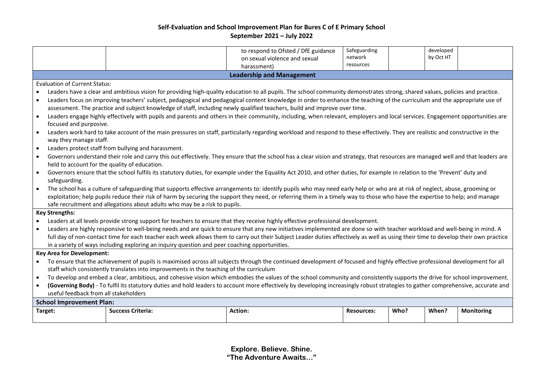| to respond to Ofsted / DfE guidance<br>on sexual violence and sexual<br>harassment)                                                                                                                                   | Safeguarding<br>network<br>resources |      | developed<br>by Oct HT |                   |  |  |  |  |  |
|-----------------------------------------------------------------------------------------------------------------------------------------------------------------------------------------------------------------------|--------------------------------------|------|------------------------|-------------------|--|--|--|--|--|
| <b>Leadership and Management</b>                                                                                                                                                                                      |                                      |      |                        |                   |  |  |  |  |  |
| <b>Evaluation of Current Status:</b>                                                                                                                                                                                  |                                      |      |                        |                   |  |  |  |  |  |
| Leaders have a clear and ambitious vision for providing high-quality education to all pupils. The school community demonstrates strong, shared values, policies and practice.                                         |                                      |      |                        |                   |  |  |  |  |  |
| Leaders focus on improving teachers' subject, pedagogical and pedagogical content knowledge in order to enhance the teaching of the curriculum and the appropriate use of<br>$\bullet$                                |                                      |      |                        |                   |  |  |  |  |  |
| assessment. The practice and subject knowledge of staff, including newly qualified teachers, build and improve over time.                                                                                             |                                      |      |                        |                   |  |  |  |  |  |
| Leaders engage highly effectively with pupils and parents and others in their community, including, when relevant, employers and local services. Engagement opportunities are<br>$\bullet$                            |                                      |      |                        |                   |  |  |  |  |  |
| focused and purposive.                                                                                                                                                                                                |                                      |      |                        |                   |  |  |  |  |  |
| Leaders work hard to take account of the main pressures on staff, particularly regarding workload and respond to these effectively. They are realistic and constructive in the<br>$\bullet$<br>way they manage staff. |                                      |      |                        |                   |  |  |  |  |  |
| Leaders protect staff from bullying and harassment.<br>$\bullet$                                                                                                                                                      |                                      |      |                        |                   |  |  |  |  |  |
| Governors understand their role and carry this out effectively. They ensure that the school has a clear vision and strategy, that resources are managed well and that leaders are<br>$\bullet$                        |                                      |      |                        |                   |  |  |  |  |  |
| held to account for the quality of education.                                                                                                                                                                         |                                      |      |                        |                   |  |  |  |  |  |
| Governors ensure that the school fulfils its statutory duties, for example under the Equality Act 2010, and other duties, for example in relation to the 'Prevent' duty and<br>$\bullet$                              |                                      |      |                        |                   |  |  |  |  |  |
| safeguarding.                                                                                                                                                                                                         |                                      |      |                        |                   |  |  |  |  |  |
| The school has a culture of safeguarding that supports effective arrangements to: identify pupils who may need early help or who are at risk of neglect, abuse, grooming or                                           |                                      |      |                        |                   |  |  |  |  |  |
| exploitation; help pupils reduce their risk of harm by securing the support they need, or referring them in a timely way to those who have the expertise to help; and manage                                          |                                      |      |                        |                   |  |  |  |  |  |
| safe recruitment and allegations about adults who may be a risk to pupils.                                                                                                                                            |                                      |      |                        |                   |  |  |  |  |  |
| <b>Key Strengths:</b>                                                                                                                                                                                                 |                                      |      |                        |                   |  |  |  |  |  |
| Leaders at all levels provide strong support for teachers to ensure that they receive highly effective professional development.<br>$\bullet$                                                                         |                                      |      |                        |                   |  |  |  |  |  |
| Leaders are highly responsive to well-being needs and are quick to ensure that any new initiatives implemented are done so with teacher workload and well-being in mind. A                                            |                                      |      |                        |                   |  |  |  |  |  |
| full day of non-contact time for each teacher each week allows them to carry out their Subject Leader duties effectively as well as using their time to develop their own practice                                    |                                      |      |                        |                   |  |  |  |  |  |
| in a variety of ways including exploring an inquiry question and peer coaching opportunities.                                                                                                                         |                                      |      |                        |                   |  |  |  |  |  |
| <b>Key Area for Development:</b>                                                                                                                                                                                      |                                      |      |                        |                   |  |  |  |  |  |
| To ensure that the achievement of pupils is maximised across all subjects through the continued development of focused and highly effective professional development for all                                          |                                      |      |                        |                   |  |  |  |  |  |
| staff which consistently translates into improvements in the teaching of the curriculum                                                                                                                               |                                      |      |                        |                   |  |  |  |  |  |
|                                                                                                                                                                                                                       |                                      |      |                        |                   |  |  |  |  |  |
| To develop and embed a clear, ambitious, and cohesive vision which embodies the values of the school community and consistently supports the drive for school improvement.<br>$\bullet$                               |                                      |      |                        |                   |  |  |  |  |  |
| (Governing Body) - To fulfil its statutory duties and hold leaders to account more effectively by developing increasingly robust strategies to gather comprehensive, accurate and<br>$\bullet$                        |                                      |      |                        |                   |  |  |  |  |  |
| useful feedback from all stakeholders                                                                                                                                                                                 |                                      |      |                        |                   |  |  |  |  |  |
| <b>School Improvement Plan:</b><br><b>Success Criteria:</b><br><b>Action:</b><br>Target:                                                                                                                              | <b>Resources:</b>                    | Who? | When?                  | <b>Monitoring</b> |  |  |  |  |  |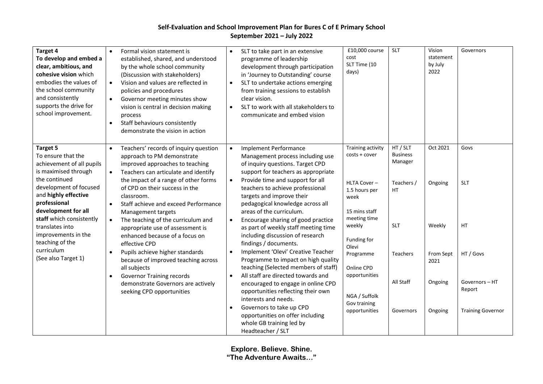| Target 4<br>To develop and embed a<br>clear, ambitious, and<br>cohesive vision which<br>embodies the values of<br>the school community<br>and consistently<br>supports the drive for<br>school improvement.                                                                                   | Formal vision statement is<br>$\bullet$<br>established, shared, and understood<br>by the whole school community<br>(Discussion with stakeholders)<br>Vision and values are reflected in<br>$\bullet$<br>policies and procedures<br>Governor meeting minutes show<br>$\bullet$<br>vision is central in decision making<br>process<br>Staff behaviours consistently<br>$\bullet$<br>demonstrate the vision in action                                                                    | SLT to take part in an extensive<br>$\bullet$<br>programme of leadership<br>development through participation<br>in 'Journey to Outstanding' course<br>SLT to undertake actions emerging<br>$\bullet$<br>from training sessions to establish<br>clear vision.<br>SLT to work with all stakeholders to<br>$\bullet$<br>communicate and embed vision                                                                                                                                                 | £10,000 course<br>cost<br>SLT Time (10<br>days)                                                                                        | <b>SLT</b>                                                                      | Vision<br>statement<br>by July<br>2022  | Governors                                                       |
|-----------------------------------------------------------------------------------------------------------------------------------------------------------------------------------------------------------------------------------------------------------------------------------------------|---------------------------------------------------------------------------------------------------------------------------------------------------------------------------------------------------------------------------------------------------------------------------------------------------------------------------------------------------------------------------------------------------------------------------------------------------------------------------------------|----------------------------------------------------------------------------------------------------------------------------------------------------------------------------------------------------------------------------------------------------------------------------------------------------------------------------------------------------------------------------------------------------------------------------------------------------------------------------------------------------|----------------------------------------------------------------------------------------------------------------------------------------|---------------------------------------------------------------------------------|-----------------------------------------|-----------------------------------------------------------------|
| <b>Target 5</b><br>To ensure that the<br>achievement of all pupils<br>is maximised through<br>the continued<br>development of focused<br>and highly effective<br>professional<br>development for all<br>staff which consistently<br>translates into<br>improvements in the<br>teaching of the | Teachers' records of inquiry question<br>$\bullet$<br>approach to PM demonstrate<br>improved approaches to teaching<br>Teachers can articulate and identify<br>$\bullet$<br>the impact of a range of other forms<br>of CPD on their success in the<br>classroom.<br>Staff achieve and exceed Performance<br>$\bullet$<br>Management targets<br>The teaching of the curriculum and<br>$\bullet$<br>appropriate use of assessment is<br>enhanced because of a focus on<br>effective CPD | <b>Implement Performance</b><br>$\bullet$<br>Management process including use<br>of inquiry questions. Target CPD<br>support for teachers as appropriate<br>Provide time and support for all<br>$\bullet$<br>teachers to achieve professional<br>targets and improve their<br>pedagogical knowledge across all<br>areas of the curriculum.<br>Encourage sharing of good practice<br>$\bullet$<br>as part of weekly staff meeting time<br>including discussion of research<br>findings / documents. | Training activity<br>$costs + cover$<br>HLTA Cover-<br>1.5 hours per<br>week<br>15 mins staff<br>meeting time<br>weekly<br>Funding for | HT / SLT<br><b>Business</b><br>Manager<br>Teachers /<br><b>HT</b><br><b>SLT</b> | Oct 2021<br>Ongoing<br>Weekly           | Govs<br><b>SLT</b><br><b>HT</b>                                 |
| curriculum<br>(See also Target 1)                                                                                                                                                                                                                                                             | Pupils achieve higher standards<br>$\bullet$<br>because of improved teaching across<br>all subjects<br><b>Governor Training records</b><br>$\bullet$<br>demonstrate Governors are actively<br>seeking CPD opportunities                                                                                                                                                                                                                                                               | Implement 'Olevi' Creative Teacher<br>$\bullet$<br>Programme to impact on high quality<br>teaching (Selected members of staff)<br>All staff are directed towards and<br>$\bullet$<br>encouraged to engage in online CPD<br>opportunities reflecting their own<br>interests and needs.<br>Governors to take up CPD<br>$\bullet$<br>opportunities on offer including<br>whole GB training led by<br>Headteacher / SLT                                                                                | Olevi<br>Programme<br>Online CPD<br>opportunities<br>NGA / Suffolk<br>Gov training<br>opportunities                                    | <b>Teachers</b><br>All Staff<br>Governors                                       | From Sept<br>2021<br>Ongoing<br>Ongoing | HT / Govs<br>Governors-HT<br>Report<br><b>Training Governor</b> |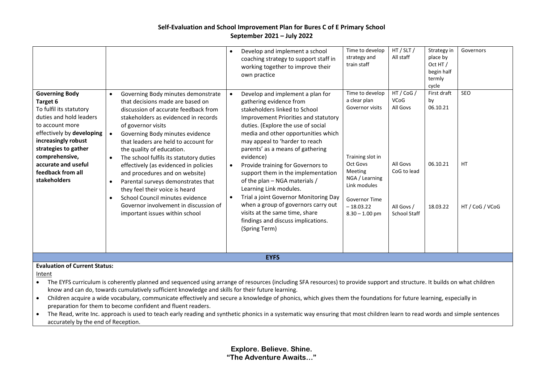|                                                                                                                                                                                                                                                                      |                                                                                                                                                                                                                                                                                                                                                                                                                                                                                                                                                                                                                                                      |  | Develop and implement a school<br>coaching strategy to support staff in<br>working together to improve their<br>own practice                                                                                                                                                                                                                                                                                                                                                                                                                                                                                        | Time to develop<br>strategy and<br>train staff                                                                                                                                      | HT / SLT /<br>All staff                                                                               | Strategy in<br>place by<br>Oct HT /<br>begin half<br>termly<br>cycle | Governors                           |
|----------------------------------------------------------------------------------------------------------------------------------------------------------------------------------------------------------------------------------------------------------------------|------------------------------------------------------------------------------------------------------------------------------------------------------------------------------------------------------------------------------------------------------------------------------------------------------------------------------------------------------------------------------------------------------------------------------------------------------------------------------------------------------------------------------------------------------------------------------------------------------------------------------------------------------|--|---------------------------------------------------------------------------------------------------------------------------------------------------------------------------------------------------------------------------------------------------------------------------------------------------------------------------------------------------------------------------------------------------------------------------------------------------------------------------------------------------------------------------------------------------------------------------------------------------------------------|-------------------------------------------------------------------------------------------------------------------------------------------------------------------------------------|-------------------------------------------------------------------------------------------------------|----------------------------------------------------------------------|-------------------------------------|
| <b>Governing Body</b><br>Target 6<br>To fulfil its statutory<br>duties and hold leaders<br>to account more<br>effectively by developing<br>increasingly robust<br>strategies to gather<br>comprehensive,<br>accurate and useful<br>feedback from all<br>stakeholders | Governing Body minutes demonstrate<br>$\bullet$<br>that decisions made are based on<br>discussion of accurate feedback from<br>stakeholders as evidenced in records<br>of governor visits<br>Governing Body minutes evidence<br>$\bullet$<br>that leaders are held to account for<br>the quality of education.<br>The school fulfils its statutory duties<br>effectively (as evidenced in policies<br>and procedures and on website)<br>Parental surveys demonstrates that<br>$\bullet$<br>they feel their voice is heard<br>School Council minutes evidence<br>$\bullet$<br>Governor involvement in discussion of<br>important issues within school |  | Develop and implement a plan for<br>gathering evidence from<br>stakeholders linked to School<br>Improvement Priorities and statutory<br>duties. (Explore the use of social<br>media and other opportunities which<br>may appeal to 'harder to reach<br>parents' as a means of gathering<br>evidence)<br>Provide training for Governors to<br>support them in the implementation<br>of the plan - NGA materials /<br>Learning Link modules.<br>Trial a joint Governor Monitoring Day<br>when a group of governors carry out<br>visits at the same time, share<br>findings and discuss implications.<br>(Spring Term) | Time to develop<br>a clear plan<br>Governor visits<br>Training slot in<br>Oct Govs<br>Meeting<br>NGA / Learning<br>Link modules<br>Governor Time<br>$-18.03.22$<br>$8.30 - 1.00$ pm | HT / CoG /<br><b>VCoG</b><br>All Govs<br>All Govs<br>CoG to lead<br>All Govs /<br><b>School Staff</b> | First draft<br>by<br>06.10.21<br>06.10.21<br>18.03.22                | SEO<br><b>HT</b><br>HT / CoG / VCoG |
| <b>EYFS</b>                                                                                                                                                                                                                                                          |                                                                                                                                                                                                                                                                                                                                                                                                                                                                                                                                                                                                                                                      |  |                                                                                                                                                                                                                                                                                                                                                                                                                                                                                                                                                                                                                     |                                                                                                                                                                                     |                                                                                                       |                                                                      |                                     |
| <b>Evaluation of Current Status:</b><br>Intent                                                                                                                                                                                                                       |                                                                                                                                                                                                                                                                                                                                                                                                                                                                                                                                                                                                                                                      |  |                                                                                                                                                                                                                                                                                                                                                                                                                                                                                                                                                                                                                     |                                                                                                                                                                                     |                                                                                                       |                                                                      |                                     |

- The EYFS curriculum is coherently planned and sequenced using arrange of resources (including SFA resources) to provide support and structure. It builds on what children know and can do, towards cumulatively sufficient knowledge and skills for their future learning.
- Children acquire a wide vocabulary, communicate effectively and secure a knowledge of phonics, which gives them the foundations for future learning, especially in preparation for them to become confident and fluent readers.
- The Read, write Inc. approach is used to teach early reading and synthetic phonics in a systematic way ensuring that most children learn to read words and simple sentences accurately by the end of Reception.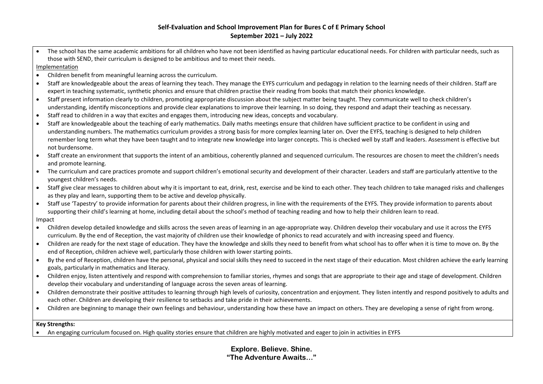The school has the same academic ambitions for all children who have not been identified as having particular educational needs. For children with particular needs, such as those with SEND, their curriculum is designed to be ambitious and to meet their needs.

Implementation

- Children benefit from meaningful learning across the curriculum.
- Staff are knowledgeable about the areas of learning they teach. They manage the EYFS curriculum and pedagogy in relation to the learning needs of their children. Staff are expert in teaching systematic, synthetic phonics and ensure that children practise their reading from books that match their phonics knowledge.
- Staff present information clearly to children, promoting appropriate discussion about the subject matter being taught. They communicate well to check children's understanding, identify misconceptions and provide clear explanations to improve their learning. In so doing, they respond and adapt their teaching as necessary.
- Staff read to children in a way that excites and engages them, introducing new ideas, concepts and vocabulary.
- Staff are knowledgeable about the teaching of early mathematics. Daily maths meetings ensure that children have sufficient practice to be confident in using and understanding numbers. The mathematics curriculum provides a strong basis for more complex learning later on. Over the EYFS, teaching is designed to help children remember long term what they have been taught and to integrate new knowledge into larger concepts. This is checked well by staff and leaders. Assessment is effective but not burdensome.
- Staff create an environment that supports the intent of an ambitious, coherently planned and sequenced curriculum. The resources are chosen to meet the children's needs and promote learning.
- The curriculum and care practices promote and support children's emotional security and development of their character. Leaders and staff are particularly attentive to the youngest children's needs.
- Staff give clear messages to children about why it is important to eat, drink, rest, exercise and be kind to each other. They teach children to take managed risks and challenges as they play and learn, supporting them to be active and develop physically.
- Staff use 'Tapestry' to provide information for parents about their children progress, in line with the requirements of the EYFS. They provide information to parents about supporting their child's learning at home, including detail about the school's method of teaching reading and how to help their children learn to read.

Impact

- Children develop detailed knowledge and skills across the seven areas of learning in an age-appropriate way. Children develop their vocabulary and use it across the EYFS curriculum. By the end of Reception, the vast majority of children use their knowledge of phonics to read accurately and with increasing speed and fluency.
- Children are ready for the next stage of education. They have the knowledge and skills they need to benefit from what school has to offer when it is time to move on. By the end of Reception, children achieve well, particularly those children with lower starting points.
- By the end of Reception, children have the personal, physical and social skills they need to succeed in the next stage of their education. Most children achieve the early learning goals, particularly in mathematics and literacy.
- Children enjoy, listen attentively and respond with comprehension to familiar stories, rhymes and songs that are appropriate to their age and stage of development. Children develop their vocabulary and understanding of language across the seven areas of learning.
- Children demonstrate their positive attitudes to learning through high levels of curiosity, concentration and enjoyment. They listen intently and respond positively to adults and each other. Children are developing their resilience to setbacks and take pride in their achievements.
- Children are beginning to manage their own feelings and behaviour, understanding how these have an impact on others. They are developing a sense of right from wrong.

#### **Key Strengths:**

• An engaging curriculum focused on. High quality stories ensure that children are highly motivated and eager to join in activities in EYFS